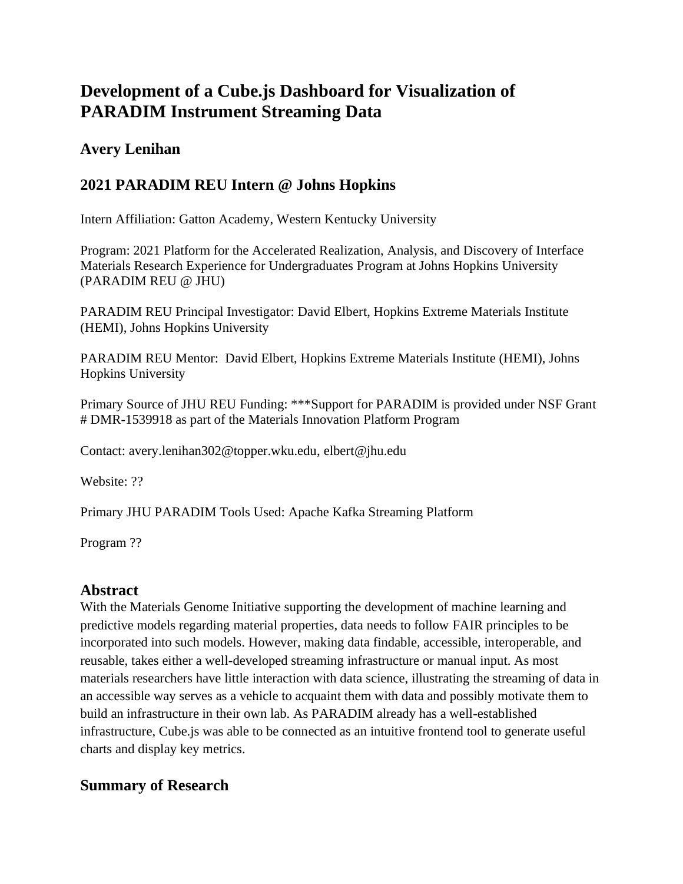# **Development of a Cube.js Dashboard for Visualization of PARADIM Instrument Streaming Data**

## **Avery Lenihan**

## **2021 PARADIM REU Intern @ Johns Hopkins**

Intern Affiliation: Gatton Academy, Western Kentucky University

Program: 2021 Platform for the Accelerated Realization, Analysis, and Discovery of Interface Materials Research Experience for Undergraduates Program at Johns Hopkins University (PARADIM REU @ JHU)

PARADIM REU Principal Investigator: David Elbert, Hopkins Extreme Materials Institute (HEMI), Johns Hopkins University

PARADIM REU Mentor: David Elbert, Hopkins Extreme Materials Institute (HEMI), Johns Hopkins University

Primary Source of JHU REU Funding: \*\*\*Support for PARADIM is provided under NSF Grant # DMR-1539918 as part of the Materials Innovation Platform Program

Contact: avery.lenihan302@topper.wku.edu, elbert@jhu.edu

Website: ??

Primary JHU PARADIM Tools Used: Apache Kafka Streaming Platform

Program ??

## **Abstract**

With the Materials Genome Initiative supporting the development of machine learning and predictive models regarding material properties, data needs to follow FAIR principles to be incorporated into such models. However, making data findable, accessible, interoperable, and reusable, takes either a well-developed streaming infrastructure or manual input. As most materials researchers have little interaction with data science, illustrating the streaming of data in an accessible way serves as a vehicle to acquaint them with data and possibly motivate them to build an infrastructure in their own lab. As PARADIM already has a well-established infrastructure, Cube.js was able to be connected as an intuitive frontend tool to generate useful charts and display key metrics.

## **Summary of Research**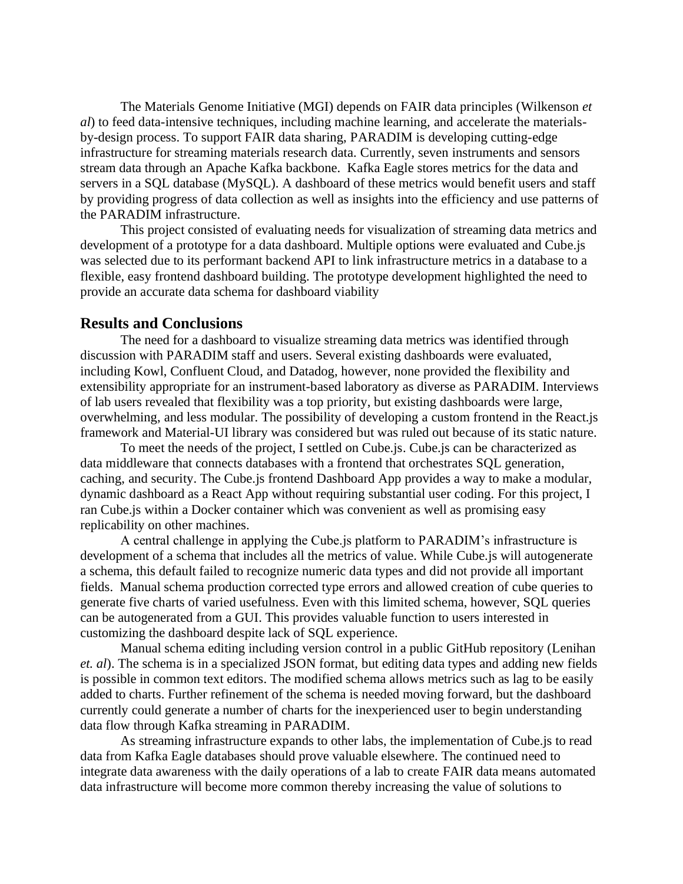The Materials Genome Initiative (MGI) depends on FAIR data principles (Wilkenson *et al*) to feed data-intensive techniques, including machine learning, and accelerate the materialsby-design process. To support FAIR data sharing, PARADIM is developing cutting-edge infrastructure for streaming materials research data. Currently, seven instruments and sensors stream data through an Apache Kafka backbone. Kafka Eagle stores metrics for the data and servers in a SQL database (MySQL). A dashboard of these metrics would benefit users and staff by providing progress of data collection as well as insights into the efficiency and use patterns of the PARADIM infrastructure.

This project consisted of evaluating needs for visualization of streaming data metrics and development of a prototype for a data dashboard. Multiple options were evaluated and Cube.js was selected due to its performant backend API to link infrastructure metrics in a database to a flexible, easy frontend dashboard building. The prototype development highlighted the need to provide an accurate data schema for dashboard viability

#### **Results and Conclusions**

The need for a dashboard to visualize streaming data metrics was identified through discussion with PARADIM staff and users. Several existing dashboards were evaluated, including Kowl, Confluent Cloud, and Datadog, however, none provided the flexibility and extensibility appropriate for an instrument-based laboratory as diverse as PARADIM. Interviews of lab users revealed that flexibility was a top priority, but existing dashboards were large, overwhelming, and less modular. The possibility of developing a custom frontend in the React.js framework and Material-UI library was considered but was ruled out because of its static nature.

To meet the needs of the project, I settled on Cube.js. Cube.js can be characterized as data middleware that connects databases with a frontend that orchestrates SQL generation, caching, and security. The Cube.js frontend Dashboard App provides a way to make a modular, dynamic dashboard as a React App without requiring substantial user coding. For this project, I ran Cube.js within a Docker container which was convenient as well as promising easy replicability on other machines.

A central challenge in applying the Cube.js platform to PARADIM's infrastructure is development of a schema that includes all the metrics of value. While Cube.js will autogenerate a schema, this default failed to recognize numeric data types and did not provide all important fields. Manual schema production corrected type errors and allowed creation of cube queries to generate five charts of varied usefulness. Even with this limited schema, however, SQL queries can be autogenerated from a GUI. This provides valuable function to users interested in customizing the dashboard despite lack of SQL experience.

Manual schema editing including version control in a public GitHub repository (Lenihan *et. al*). The schema is in a specialized JSON format, but editing data types and adding new fields is possible in common text editors. The modified schema allows metrics such as lag to be easily added to charts. Further refinement of the schema is needed moving forward, but the dashboard currently could generate a number of charts for the inexperienced user to begin understanding data flow through Kafka streaming in PARADIM.

As streaming infrastructure expands to other labs, the implementation of Cube.js to read data from Kafka Eagle databases should prove valuable elsewhere. The continued need to integrate data awareness with the daily operations of a lab to create FAIR data means automated data infrastructure will become more common thereby increasing the value of solutions to